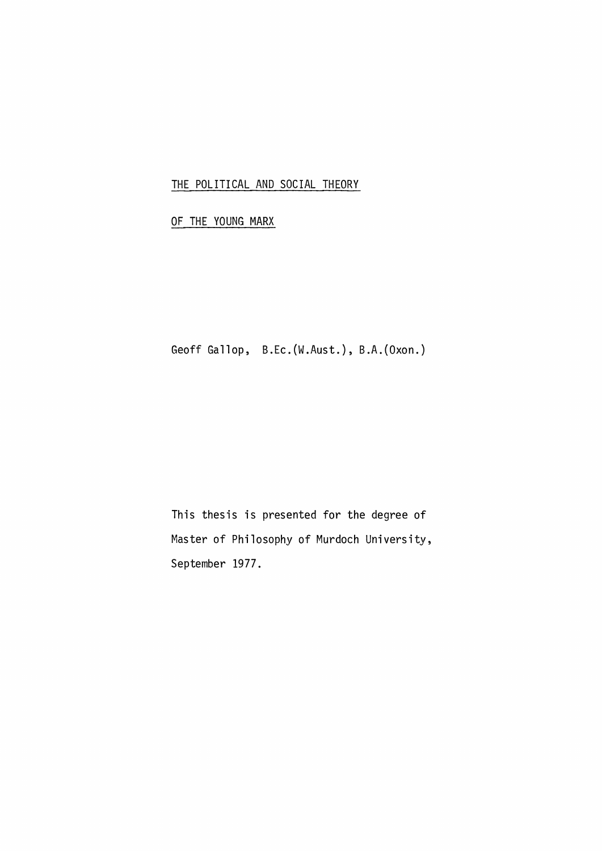## THE POLITICAL AND SOCIAL THEORY

# OF THE YOUNG MARX

Geoff Gallop, B.Ec.(W.Aust.), B.A.(Oxon.)

This thesis is presented for the degree of Master of Philosophy of Murdoch University, September 1977.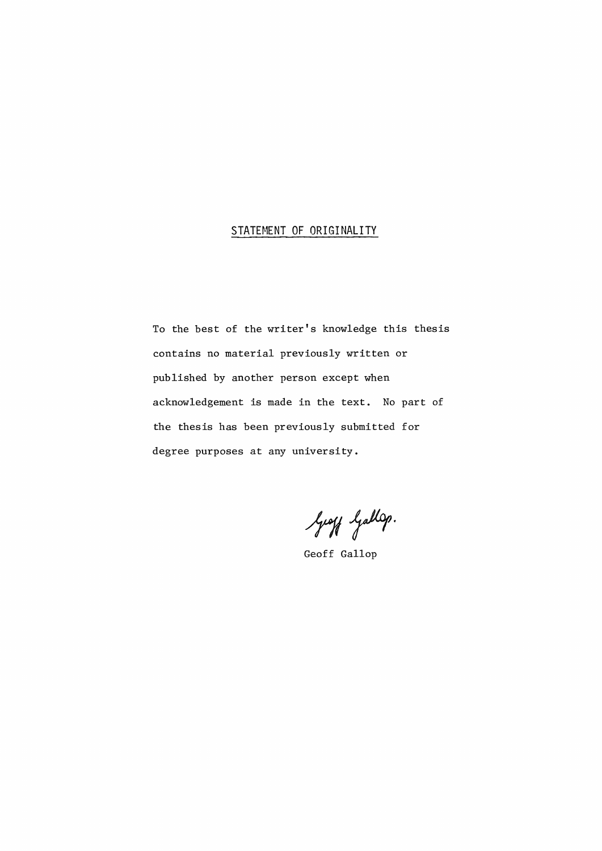## STATEMENT OF ORIGINALITY

To the best of the writer's knowledge this thesis contains no material previously written or published by another person except when acknowledgement is made in the text. No part of the thesis has been previously submitted for degree purposes at any university.

Geoff Gallop.

Geoff Gallop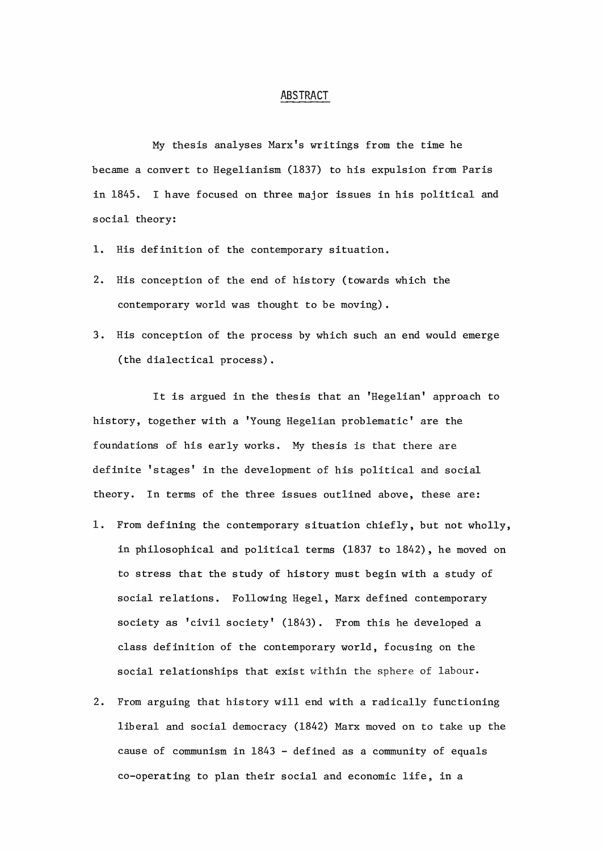#### ABSTRACT

My thesis analyses Marx's writings from the time he became a convert to Hegelianism (1837) to his expulsion from Paris in 1845. I have focused on three major issues in his political and social theory:

- 1. His definition of the contemporary situation.
- 2. His conception of the end of history (towards which the contemporary world was thought to be moving).
- 3. His conception of the process by which such an end would emerge (the dialectical process).

It is argued in the thesis that an 'Hegelian' approach to history, together with a 'Young Hegelian problematic' are the foundations of his early works. My thesis is that there are definite 'stages' in the development of his political and social theory. In terms of the three issues outlined above, these are:

- 1. From defining the contemporary situation chiefly, but not wholly, in philosophical and political terms (1837 to 1842), he moved on to stress that the study of history must begin with a study of social relations. Following Hegel, Marx defined contemporary society as 'civil society' (1843). From this he developed a class definition of the contemporary world, focusing on the social relationships that exist within the sphere of labour.
- 2. From arguing that history will end with a radically functioning liberal and social democracy (1842) Marx moved on to take up the cause of communism in 1843 - defined as a community of equals co-operating to plan their social and economic life, in a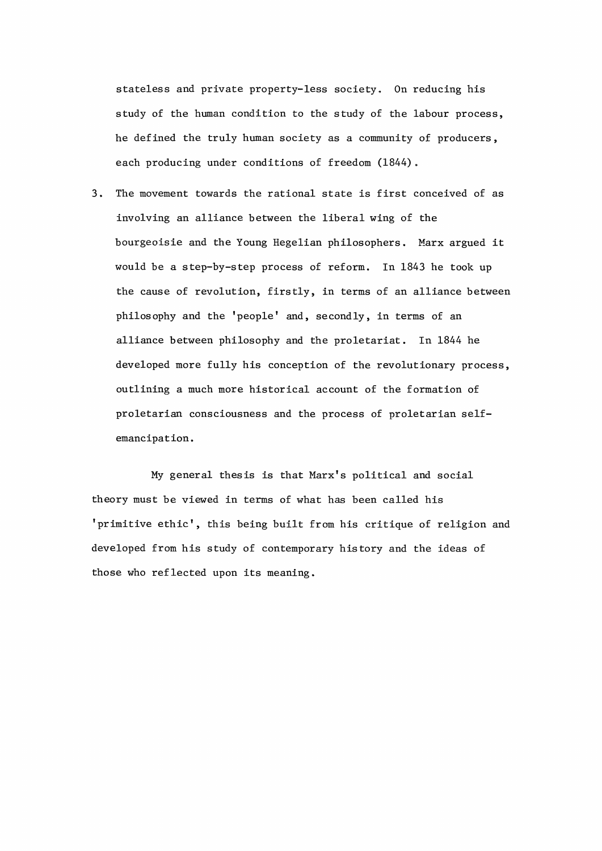stateless and private property-less society. On reducing his study of the human condition to the study of the labour process, he defined the truly human society as a community of producers, each producing under conditions of freedom (1844).

3. The movement towards the rational state is first conceived of as involving an alliance between the liberal wing of the bourgeoisie and the Young Hegelian philosophers. Marx argued it would be a step-by-step process of reform. In 1843 he took up the cause of revolution, firstly, in terms of an alliance between philosophy and the 'people' and, secondly, in terms of an alliance between philosophy and the proletariat. In 1844 he developed more fully his conception of the revolutionary process, outlining a much more historical account of the formation of proletarian consciousness and the process of proletarian se1femancipation.

My general thesis is that Marx's political and social theory must be viewed in terms of what has been called his 'primitive ethic', this being built from his critique of religion and developed from his study of contemporary history and the ideas of those who reflected upon its meaning.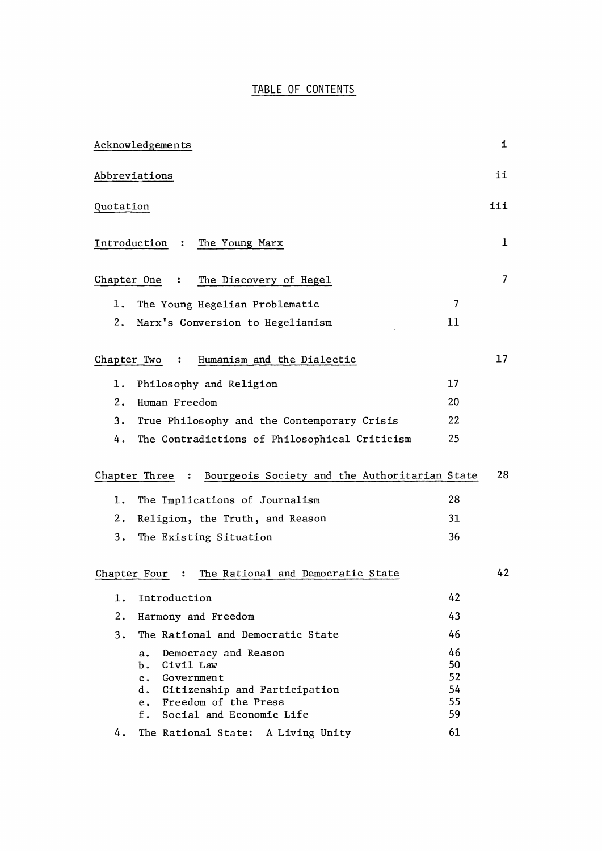## TABLE OF CONTENTS

|              | Acknowledgements                                                                                                                                                              |                                  | i   |
|--------------|-------------------------------------------------------------------------------------------------------------------------------------------------------------------------------|----------------------------------|-----|
|              | Abbreviations                                                                                                                                                                 |                                  | ii  |
| Quotation    |                                                                                                                                                                               |                                  | iii |
| Introduction | The Young Marx<br>$\ddot{\cdot}$                                                                                                                                              |                                  | 1   |
| Chapter One  | The Discovery of Hegel<br>$\ddot{\cdot}$                                                                                                                                      |                                  | 7   |
| 1.           | The Young Hegelian Problematic                                                                                                                                                | 7                                |     |
| 2.           | Marx's Conversion to Hegelianism                                                                                                                                              | 11                               |     |
| Chapter Two  | Humanism and the Dialectic<br>:                                                                                                                                               |                                  | 17  |
| 1.           | Philosophy and Religion                                                                                                                                                       | 17                               |     |
| 2.           | Human Freedom                                                                                                                                                                 | 20                               |     |
| 3.           | True Philosophy and the Contemporary Crisis                                                                                                                                   | 22                               |     |
| 4.           | The Contradictions of Philosophical Criticism                                                                                                                                 | 25                               |     |
|              | Bourgeois Society and the Authoritarian State<br>Chapter Three<br>$\ddot{\bullet}$                                                                                            |                                  | 28  |
| 1.           | The Implications of Journalism                                                                                                                                                | 28                               |     |
| 2.           | Religion, the Truth, and Reason                                                                                                                                               | 31                               |     |
| 3.           | The Existing Situation                                                                                                                                                        | 36                               |     |
| Chapter Four | The Rational and Democratic State<br>:                                                                                                                                        |                                  | 42  |
| 1.           | Introduction                                                                                                                                                                  | 42                               |     |
| 2.           | Harmony and Freedom                                                                                                                                                           | 43                               |     |
| 3.           | The Rational and Democratic State                                                                                                                                             | 46                               |     |
|              | Democracy and Reason<br>а.<br>Civil Law<br>Ъ.<br>$c_{\bullet}$<br>Government<br>d. Citizenship and Participation<br>e. Freedom of the Press<br>Social and Economic Life<br>f. | 46<br>50<br>52<br>54<br>55<br>59 |     |
| 4.           | The Rational State: A Living Unity                                                                                                                                            | 61                               |     |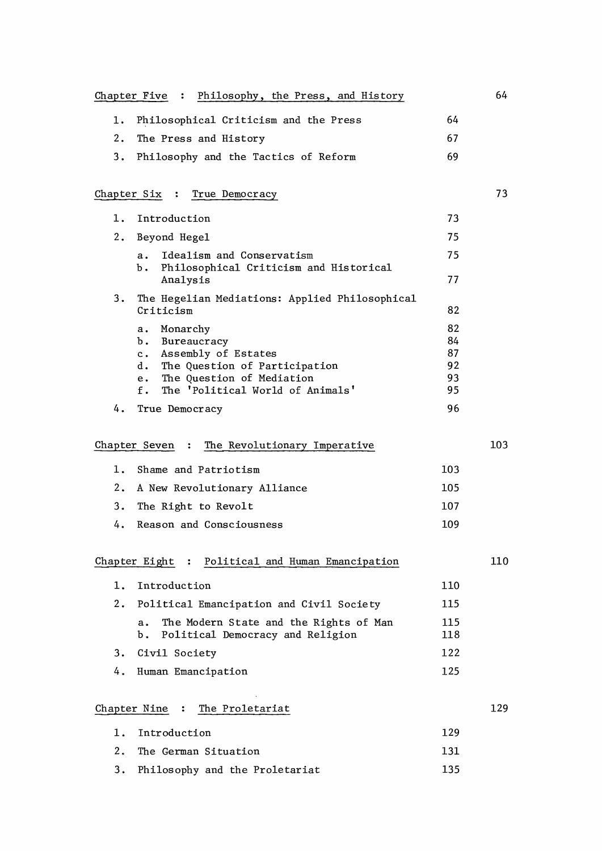|                                              | Chapter Five : Philosophy, the Press, and History                                                  |            | 64  |
|----------------------------------------------|----------------------------------------------------------------------------------------------------|------------|-----|
| 1.                                           | Philosophical Criticism and the Press                                                              | 64         |     |
| 2.                                           | The Press and History                                                                              | 67         |     |
| 3.                                           | Philosophy and the Tactics of Reform                                                               | 69         |     |
|                                              | Chapter Six :<br>True Democracy                                                                    |            | 73  |
| 1.                                           | Introduction                                                                                       | 73         |     |
| 2.                                           | Beyond Hegel                                                                                       | 75         |     |
|                                              | Idealism and Conservatism<br>a.<br>Philosophical Criticism and Historical<br>Ъ.                    | 75         |     |
|                                              | Analysis                                                                                           | 77         |     |
| 3.                                           | The Hegelian Mediations: Applied Philosophical<br>Criticism                                        | 82         |     |
|                                              | Monarchy<br>а.                                                                                     | 82         |     |
|                                              | Bureaucracy<br>Ъ.<br>Assembly of Estates<br>$c \cdot$                                              | 84<br>87   |     |
|                                              | d. The Question of Participation                                                                   | 92         |     |
|                                              | The Question of Mediation<br>e.                                                                    | 93         |     |
|                                              | The 'Political World of Animals'<br>f.                                                             | 95         |     |
| 4.                                           | True Democracy                                                                                     | 96         |     |
| Chapter Seven : The Revolutionary Imperative |                                                                                                    |            | 103 |
| 1.                                           | Shame and Patriotism                                                                               | 103        |     |
| 2.                                           | A New Revolutionary Alliance                                                                       | 105        |     |
| 3.                                           | The Right to Revolt                                                                                | 107        |     |
| 4.                                           | Reason and Consciousness                                                                           | 109        |     |
|                                              | Chapter Eight : Political and Human Emancipation                                                   |            | 110 |
|                                              |                                                                                                    |            |     |
| 1.                                           | Introduction                                                                                       | 110        |     |
| 2.                                           | Political Emancipation and Civil Society                                                           | 115        |     |
|                                              | The Modern State and the Rights of Man<br>$\mathbf{a}$ .<br>Political Democracy and Religion<br>Ъ. | 115<br>118 |     |
| 3.                                           | Civil Society                                                                                      | 122        |     |
| 4.                                           | Human Emancipation                                                                                 | 125        |     |
| Chapter Nine : The Proletariat               |                                                                                                    |            |     |
| 1.                                           | Introduction                                                                                       | 129        |     |
| 2.                                           | The German Situation                                                                               | 131        |     |
| 3.                                           | Philosophy and the Proletariat                                                                     | 135        |     |
|                                              |                                                                                                    |            |     |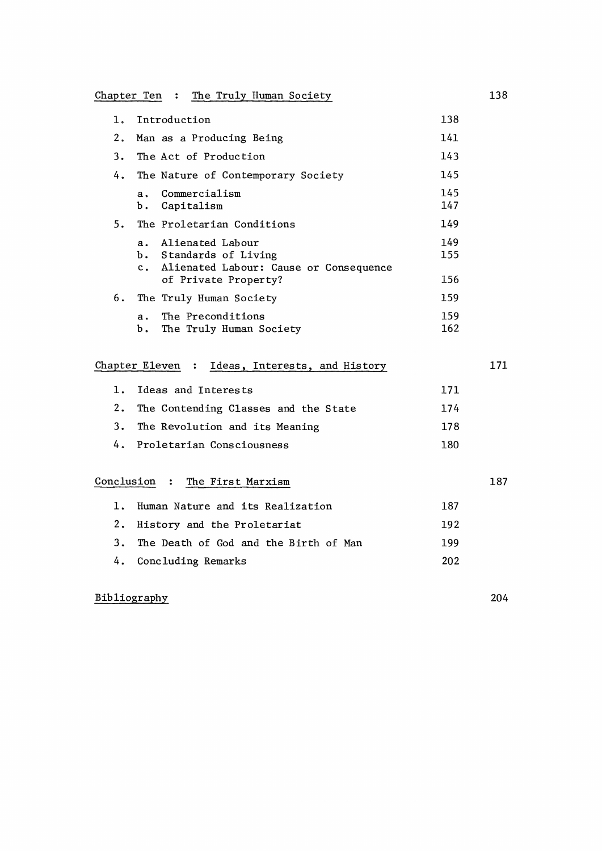Chapter Ten : The Truly Human Society

| 1. | Introduction                                                                                                          | 138               |     |
|----|-----------------------------------------------------------------------------------------------------------------------|-------------------|-----|
| 2. | Man as a Producing Being                                                                                              | 141               |     |
| 3. | The Act of Production                                                                                                 | 143               |     |
| 4. | The Nature of Contemporary Society                                                                                    | 145               |     |
|    | Commercialism<br>$\mathbf{a}$ .<br>Capitalism<br>b.                                                                   | 145<br>147        |     |
| 5. | The Proletarian Conditions                                                                                            | 149               |     |
|    | Alienated Labour<br>a.<br>b. Standards of Living<br>c. Alienated Labour: Cause or Consequence<br>of Private Property? | 149<br>155<br>156 |     |
| 6. | The Truly Human Society                                                                                               | 159               |     |
|    | The Preconditions<br>$\mathbf{a}$ .<br>The Truly Human Society<br>Ъ.                                                  | 159<br>162        |     |
|    | Chapter Eleven : Ideas, Interests, and History                                                                        |                   | 171 |
| 1. | Ideas and Interests                                                                                                   | 171               |     |
| 2. | The Contending Classes and the State                                                                                  | 174               |     |
| 3. | The Revolution and its Meaning                                                                                        | 178               |     |
| 4. | Proletarian Consciousness                                                                                             | 180               |     |
|    | Conclusion : The First Marxism                                                                                        |                   | 187 |
| 1. | Human Nature and its Realization                                                                                      | 187               |     |
| 2. | History and the Proletariat                                                                                           | 192               |     |
| 3. | The Death of God and the Birth of Man                                                                                 | 199               |     |

4. Concluding Remarks

# Bibliography

204

202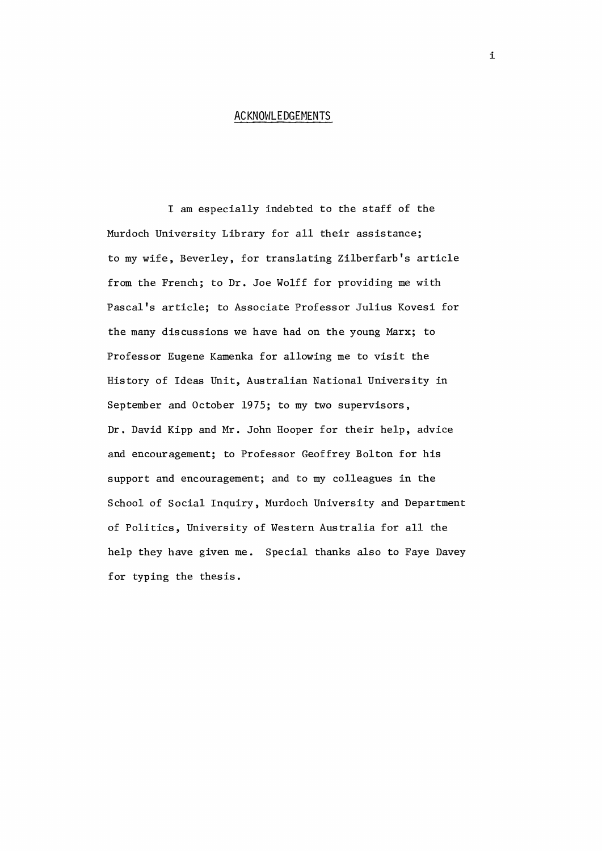#### **ACKNOWLEDGEMENTS**

I am especially indebted to the staff of the Murdoch University Library for all their assistance; to my wife, Beverley, for translating Zilberfarb's article from the French; to Dr. Joe Wolff for providing me with Pascal's article; to Associate Professor Julius Kovesi for the many discussions we have had on the young Marx; to Professor Eugene Kamenka for allowing me to visit the History of Ideas Unit, Australian National University in September and October 1975; to my two supervisors, Dr. David Kipp and Mr. John Hooper for their help, advice and encouragement; to Professor Geoffrey Bolton for his support and encouragement; and to my colleagues in the School of Social Inquiry, Murdoch University and Department of Politics, University of Western Australia for all the help they have given me. Special thanks also to Faye Davey for typing the thesis.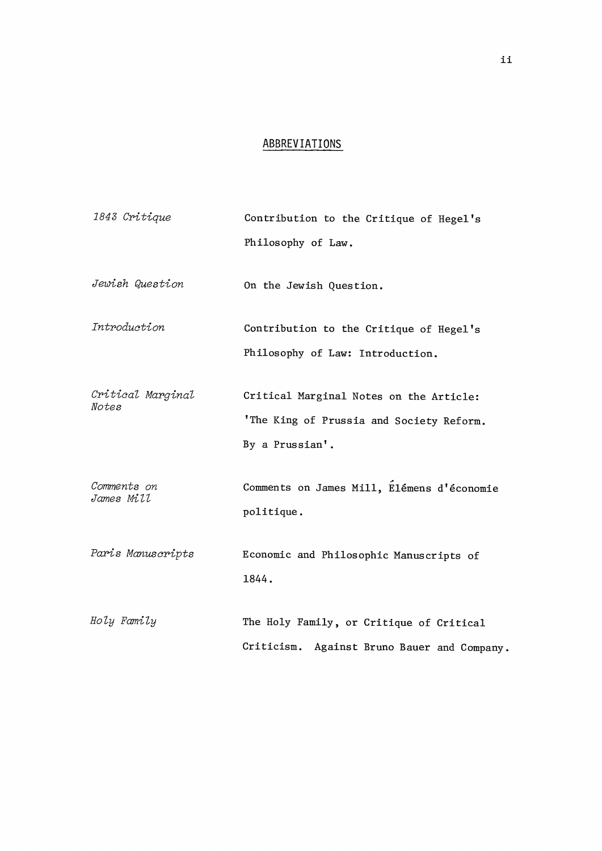#### ABBREVIATIONS

1843 Critique Contribution to the Critique of Hegel's Philosophy of Law. Jewish Question On the Jewish Question. Introduction Contribution to the Critique of Hegel's Philosophy of Law: Introduction. Critical Marginal Critical Marginal Notes on the Article: Notes 'The King of Prussia and Society Reform. By a Prussian'. Comments on James Mill, Elémens d'économie Comments on James Mill politique. Paris Manuscripts Economic and Philosophic Manuscripts of 1844. Holy Family The Holy Family, or Critique of Critical Criticism. Against Bruno Bauer and Company.